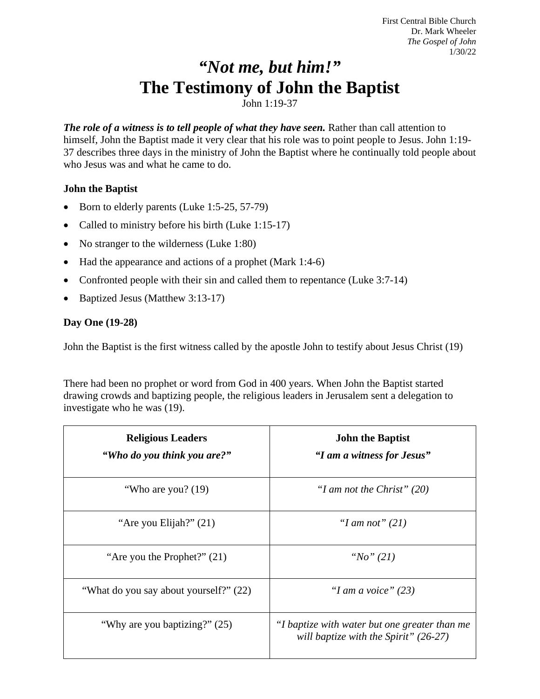First Central Bible Church Dr. Mark Wheeler *The Gospel of John* 1/30/22

# *"Not me, but him!"* **The Testimony of John the Baptist**

John 1:19-37

*The role of a witness is to tell people of what they have seen.* Rather than call attention to himself, John the Baptist made it very clear that his role was to point people to Jesus. John 1:19- 37 describes three days in the ministry of John the Baptist where he continually told people about who Jesus was and what he came to do.

# **John the Baptist**

- Born to elderly parents (Luke 1:5-25, 57-79)
- Called to ministry before his birth (Luke 1:15-17)
- No stranger to the wilderness (Luke 1:80)
- Had the appearance and actions of a prophet (Mark 1:4-6)
- Confronted people with their sin and called them to repentance (Luke 3:7-14)
- Baptized Jesus (Matthew 3:13-17)

# **Day One (19-28)**

John the Baptist is the first witness called by the apostle John to testify about Jesus Christ (19)

There had been no prophet or word from God in 400 years. When John the Baptist started drawing crowds and baptizing people, the religious leaders in Jerusalem sent a delegation to investigate who he was (19).

| <b>Religious Leaders</b><br>"Who do you think you are?" | <b>John the Baptist</b><br>"I am a witness for Jesus"                                    |
|---------------------------------------------------------|------------------------------------------------------------------------------------------|
| "Who are you? (19)                                      | "I am not the Christ" $(20)$                                                             |
| "Are you Elijah?" (21)                                  | "I am not" $(21)$                                                                        |
| "Are you the Prophet?" $(21)$                           | "No" $(21)$                                                                              |
| "What do you say about yourself?" (22)                  | "I am a voice" $(23)$                                                                    |
| "Why are you baptizing?" (25)                           | "I baptize with water but one greater than me<br>will baptize with the Spirit" $(26-27)$ |